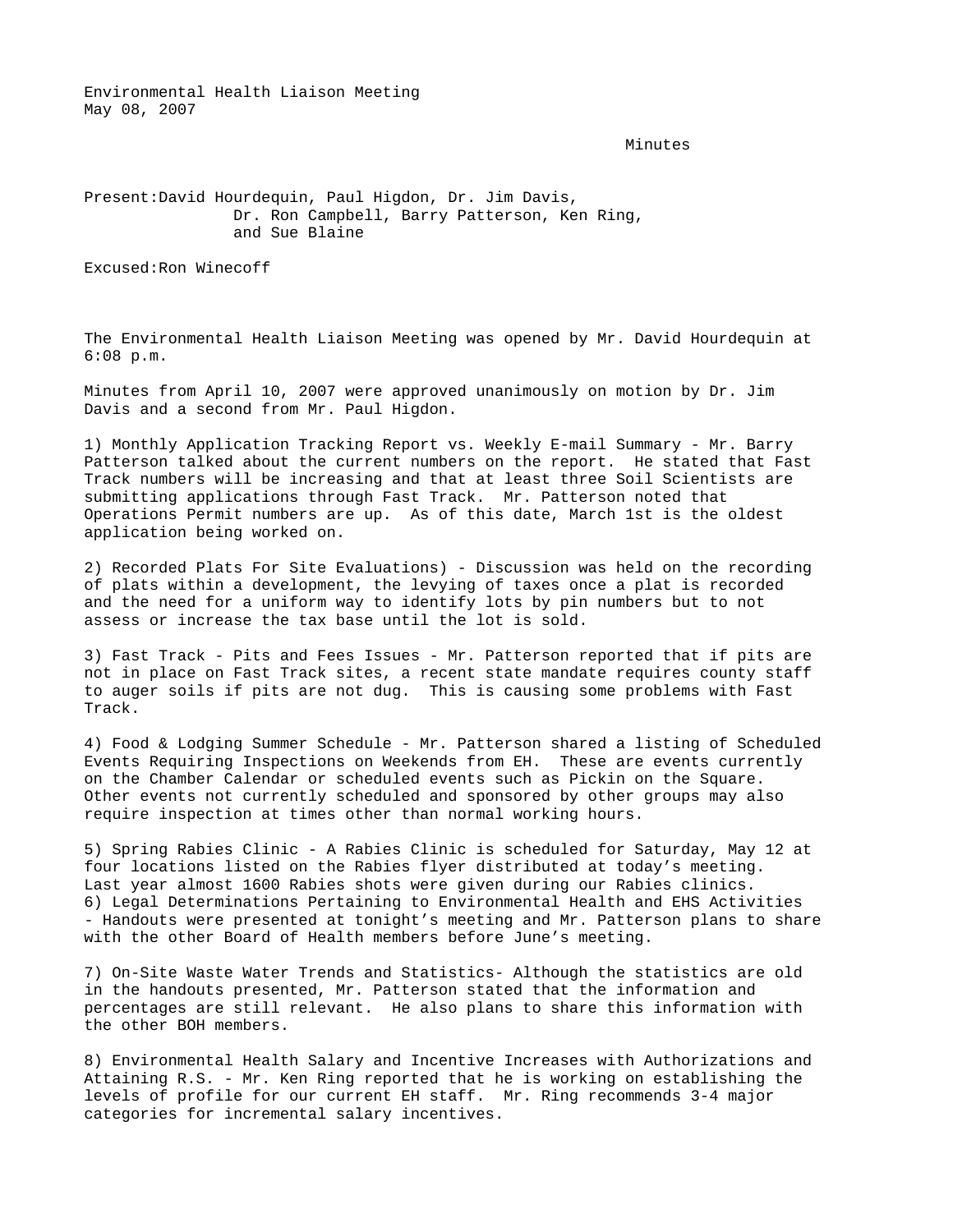Environmental Health Liaison Meeting May 08, 2007

Minutes

## Present: David Hourdequin, Paul Higdon, Dr. Jim Davis, Dr. Ron Campbell, Barry Patterson, Ken Ring, and Sue Blaine

Excused: Ron Winecoff

The Environmental Health Liaison Meeting was opened by Mr. David Hourdequin at 6:08 p.m.

Minutes from April 10, 2007 were approved unanimously on motion by Dr. Jim Davis and a second from Mr. Paul Higdon.

1) Monthly Application Tracking Report vs. Weekly E-mail Summary - Mr. Barry Patterson talked about the current numbers on the report. He stated that Fast Track numbers will be increasing and that at least three Soil Scientists are submitting applications through Fast Track. Mr. Patterson noted that Operations Permit numbers are up. As of this date, March 1st is the oldest application being worked on.

2) Recorded Plats For Site Evaluations) - Discussion was held on the recording of plats within a development, the levying of taxes once a plat is recorded and the need for a uniform way to identify lots by pin numbers but to not assess or increase the tax base until the lot is sold.

3) Fast Track - Pits and Fees Issues - Mr. Patterson reported that if pits are not in place on Fast Track sites, a recent state mandate requires county staff to auger soils if pits are not dug. This is causing some problems with Fast Track.

4) Food & Lodging Summer Schedule - Mr. Patterson shared a listing of Scheduled Events Requiring Inspections on Weekends from EH. These are events currently on the Chamber Calendar or scheduled events such as Pickin on the Square. Other events not currently scheduled and sponsored by other groups may also require inspection at times other than normal working hours.

5) Spring Rabies Clinic - A Rabies Clinic is scheduled for Saturday, May 12 at four locations listed on the Rabies flyer distributed at today's meeting. Last year almost 1600 Rabies shots were given during our Rabies clinics. 6) Legal Determinations Pertaining to Environmental Health and EHS Activities - Handouts were presented at tonight's meeting and Mr. Patterson plans to share with the other Board of Health members before June's meeting.

7) On-Site Waste Water Trends and Statistics- Although the statistics are old in the handouts presented, Mr. Patterson stated that the information and percentages are still relevant. He also plans to share this information with the other BOH members.

8) Environmental Health Salary and Incentive Increases with Authorizations and Attaining R.S. - Mr. Ken Ring reported that he is working on establishing the levels of profile for our current EH staff. Mr. Ring recommends 3-4 major categories for incremental salary incentives.